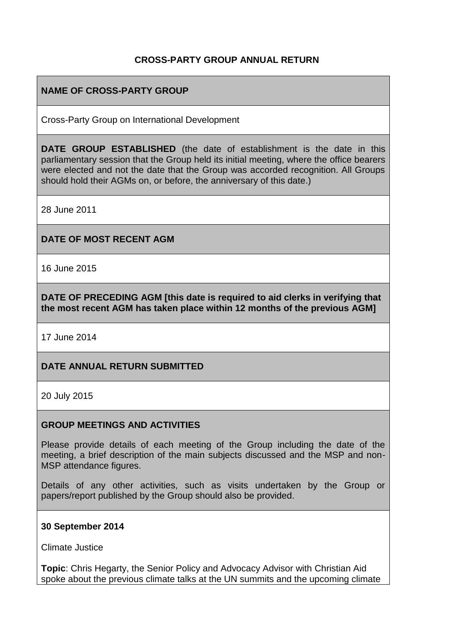## **CROSS-PARTY GROUP ANNUAL RETURN**

## **NAME OF CROSS-PARTY GROUP**

Cross-Party Group on International Development

**DATE GROUP ESTABLISHED** (the date of establishment is the date in this parliamentary session that the Group held its initial meeting, where the office bearers were elected and not the date that the Group was accorded recognition. All Groups should hold their AGMs on, or before, the anniversary of this date.)

28 June 2011

#### **DATE OF MOST RECENT AGM**

16 June 2015

**DATE OF PRECEDING AGM [this date is required to aid clerks in verifying that the most recent AGM has taken place within 12 months of the previous AGM]**

17 June 2014

#### **DATE ANNUAL RETURN SUBMITTED**

20 July 2015

#### **GROUP MEETINGS AND ACTIVITIES**

Please provide details of each meeting of the Group including the date of the meeting, a brief description of the main subjects discussed and the MSP and non-MSP attendance figures.

Details of any other activities, such as visits undertaken by the Group or papers/report published by the Group should also be provided.

#### **30 September 2014**

Climate Justice

**Topic**: Chris Hegarty, the Senior Policy and Advocacy Advisor with Christian Aid spoke about the previous climate talks at the UN summits and the upcoming climate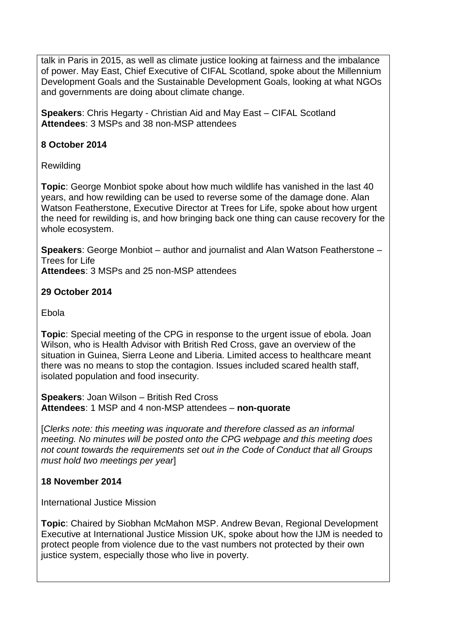talk in Paris in 2015, as well as climate justice looking at fairness and the imbalance of power. May East, Chief Executive of CIFAL Scotland, spoke about the Millennium Development Goals and the Sustainable Development Goals, looking at what NGOs and governments are doing about climate change.

**Speakers: Chris Hegarty - Christian Aid and May East – CIFAL Scotland Attendees**: 3 MSPs and 38 non-MSP attendees

## **8 October 2014**

Rewilding

**Topic**: George Monbiot spoke about how much wildlife has vanished in the last 40 years, and how rewilding can be used to reverse some of the damage done. Alan Watson Featherstone, Executive Director at Trees for Life, spoke about how urgent the need for rewilding is, and how bringing back one thing can cause recovery for the whole ecosystem.

**Speakers**: George Monbiot – author and journalist and Alan Watson Featherstone – Trees for Life

**Attendees**: 3 MSPs and 25 non-MSP attendees

## **29 October 2014**

Ebola

**Topic**: Special meeting of the CPG in response to the urgent issue of ebola. Joan Wilson, who is Health Advisor with British Red Cross, gave an overview of the situation in Guinea, Sierra Leone and Liberia. Limited access to healthcare meant there was no means to stop the contagion. Issues included scared health staff, isolated population and food insecurity.

**Speakers**: Joan Wilson – British Red Cross **Attendees**: 1 MSP and 4 non-MSP attendees – **non-quorate**

[*Clerks note: this meeting was inquorate and therefore classed as an informal meeting. No minutes will be posted onto the CPG webpage and this meeting does not count towards the requirements set out in the Code of Conduct that all Groups must hold two meetings per year*]

## **18 November 2014**

International Justice Mission

**Topic**: Chaired by Siobhan McMahon MSP. Andrew Bevan, Regional Development Executive at International Justice Mission UK, spoke about how the IJM is needed to protect people from violence due to the vast numbers not protected by their own justice system, especially those who live in poverty.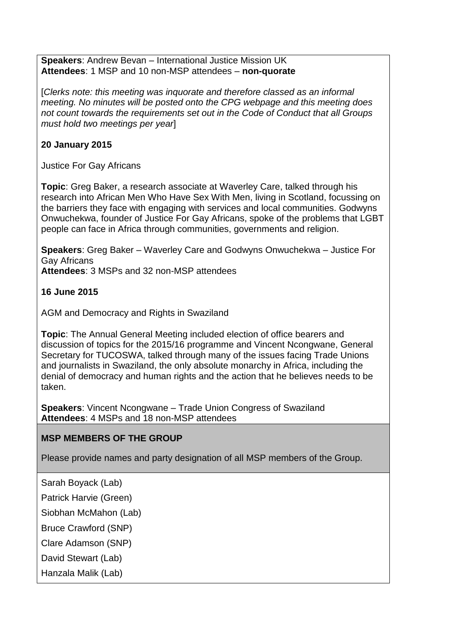**Speakers**: Andrew Bevan – International Justice Mission UK **Attendees**: 1 MSP and 10 non-MSP attendees – **non-quorate**

[*Clerks note: this meeting was inquorate and therefore classed as an informal meeting. No minutes will be posted onto the CPG webpage and this meeting does not count towards the requirements set out in the Code of Conduct that all Groups must hold two meetings per year*]

## **20 January 2015**

Justice For Gay Africans

**Topic**: Greg Baker, a research associate at Waverley Care, talked through his research into African Men Who Have Sex With Men, living in Scotland, focussing on the barriers they face with engaging with services and local communities. Godwyns Onwuchekwa, founder of Justice For Gay Africans, spoke of the problems that LGBT people can face in Africa through communities, governments and religion.

**Speakers**: Greg Baker – Waverley Care and Godwyns Onwuchekwa – Justice For Gay Africans

**Attendees**: 3 MSPs and 32 non-MSP attendees

# **16 June 2015**

AGM and Democracy and Rights in Swaziland

**Topic**: The Annual General Meeting included election of office bearers and discussion of topics for the 2015/16 programme and Vincent Ncongwane, General Secretary for TUCOSWA, talked through many of the issues facing Trade Unions and journalists in Swaziland, the only absolute monarchy in Africa, including the denial of democracy and human rights and the action that he believes needs to be taken.

**Speakers**: Vincent Ncongwane – Trade Union Congress of Swaziland **Attendees**: 4 MSPs and 18 non-MSP attendees

# **MSP MEMBERS OF THE GROUP**

Please provide names and party designation of all MSP members of the Group.

Sarah Boyack (Lab)

Patrick Harvie (Green)

Siobhan McMahon (Lab)

Bruce Crawford (SNP)

Clare Adamson (SNP)

David Stewart (Lab)

Hanzala Malik (Lab)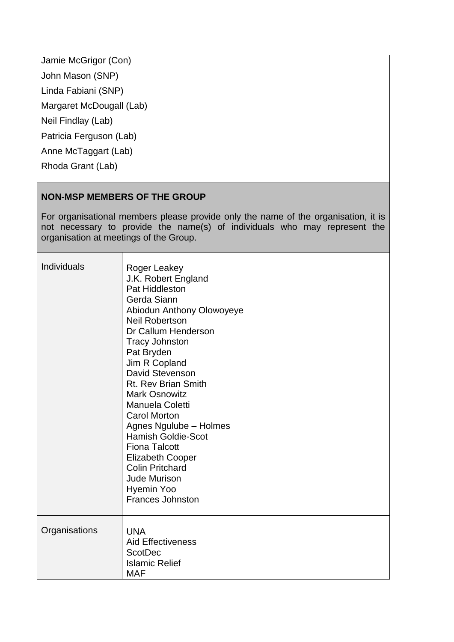Jamie McGrigor (Con) John Mason (SNP) Linda Fabiani (SNP) Margaret McDougall (Lab) Neil Findlay (Lab) Patricia Ferguson (Lab) Anne McTaggart (Lab) Rhoda Grant (Lab)

# **NON-MSP MEMBERS OF THE GROUP**

┱

For organisational members please provide only the name of the organisation, it is not necessary to provide the name(s) of individuals who may represent the organisation at meetings of the Group.

| <b>Individuals</b> | Roger Leakey<br>J.K. Robert England<br>Pat Hiddleston<br>Gerda Siann<br>Abiodun Anthony Olowoyeye<br><b>Neil Robertson</b><br>Dr Callum Henderson<br><b>Tracy Johnston</b><br>Pat Bryden<br>Jim R Copland<br>David Stevenson<br>Rt. Rev Brian Smith<br><b>Mark Osnowitz</b><br>Manuela Coletti<br><b>Carol Morton</b><br>Agnes Ngulube - Holmes<br><b>Hamish Goldie-Scot</b><br><b>Fiona Talcott</b><br><b>Elizabeth Cooper</b><br><b>Colin Pritchard</b><br><b>Jude Murison</b><br>Hyemin Yoo<br><b>Frances Johnston</b> |
|--------------------|---------------------------------------------------------------------------------------------------------------------------------------------------------------------------------------------------------------------------------------------------------------------------------------------------------------------------------------------------------------------------------------------------------------------------------------------------------------------------------------------------------------------------|
| Organisations      | <b>UNA</b><br><b>Aid Effectiveness</b><br><b>ScotDec</b><br><b>Islamic Relief</b><br><b>MAF</b>                                                                                                                                                                                                                                                                                                                                                                                                                           |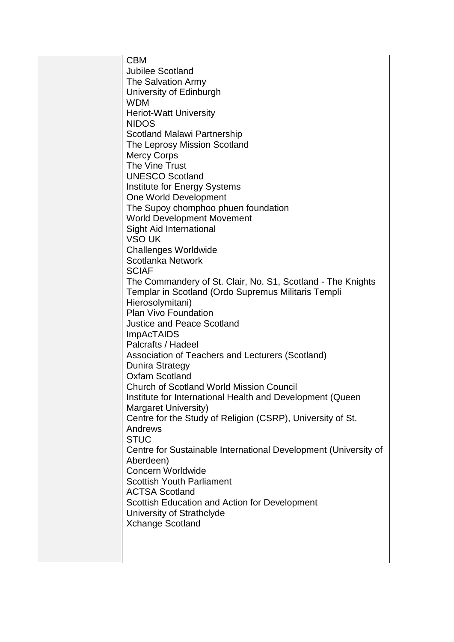| <b>CBM</b>                                                      |
|-----------------------------------------------------------------|
| <b>Jubilee Scotland</b>                                         |
| The Salvation Army                                              |
|                                                                 |
| University of Edinburgh                                         |
| <b>WDM</b>                                                      |
| <b>Heriot-Watt University</b>                                   |
| <b>NIDOS</b>                                                    |
|                                                                 |
| <b>Scotland Malawi Partnership</b>                              |
| The Leprosy Mission Scotland                                    |
| <b>Mercy Corps</b>                                              |
| The Vine Trust                                                  |
| <b>UNESCO Scotland</b>                                          |
| Institute for Energy Systems                                    |
|                                                                 |
| One World Development                                           |
| The Supoy chomphoo phuen foundation                             |
| <b>World Development Movement</b>                               |
| Sight Aid International                                         |
| VSO UK                                                          |
|                                                                 |
| <b>Challenges Worldwide</b>                                     |
| Scotlanka Network                                               |
| <b>SCIAF</b>                                                    |
| The Commandery of St. Clair, No. S1, Scotland - The Knights     |
| Templar in Scotland (Ordo Supremus Militaris Templi             |
| Hierosolymitani)                                                |
|                                                                 |
| <b>Plan Vivo Foundation</b>                                     |
| <b>Justice and Peace Scotland</b>                               |
| <b>ImpAcTAIDS</b>                                               |
| Palcrafts / Hadeel                                              |
| Association of Teachers and Lecturers (Scotland)                |
|                                                                 |
| Dunira Strategy                                                 |
| <b>Oxfam Scotland</b>                                           |
| <b>Church of Scotland World Mission Council</b>                 |
| Institute for International Health and Development (Queen       |
| Margaret University)                                            |
|                                                                 |
| Centre for the Study of Religion (CSRP), University of St.      |
| Andrews                                                         |
| <b>STUC</b>                                                     |
| Centre for Sustainable International Development (University of |
| Aberdeen)                                                       |
| Concern Worldwide                                               |
|                                                                 |
| <b>Scottish Youth Parliament</b>                                |
| <b>ACTSA Scotland</b>                                           |
| Scottish Education and Action for Development                   |
| University of Strathclyde                                       |
| <b>Xchange Scotland</b>                                         |
|                                                                 |
|                                                                 |
|                                                                 |
|                                                                 |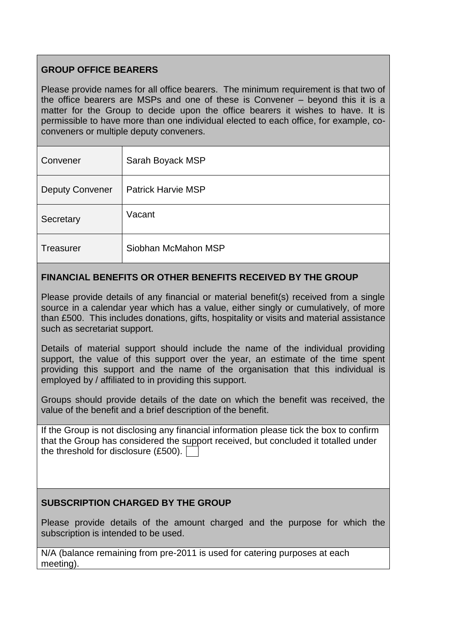# **GROUP OFFICE BEARERS**

Please provide names for all office bearers. The minimum requirement is that two of the office bearers are MSPs and one of these is Convener – beyond this it is a matter for the Group to decide upon the office bearers it wishes to have. It is permissible to have more than one individual elected to each office, for example, coconveners or multiple deputy conveners.

| Convener               | Sarah Boyack MSP          |
|------------------------|---------------------------|
| <b>Deputy Convener</b> | <b>Patrick Harvie MSP</b> |
| Secretary              | Vacant                    |
| <b>Treasurer</b>       | Siobhan McMahon MSP       |

# **FINANCIAL BENEFITS OR OTHER BENEFITS RECEIVED BY THE GROUP**

Please provide details of any financial or material benefit(s) received from a single source in a calendar year which has a value, either singly or cumulatively, of more than £500. This includes donations, gifts, hospitality or visits and material assistance such as secretariat support.

Details of material support should include the name of the individual providing support, the value of this support over the year, an estimate of the time spent providing this support and the name of the organisation that this individual is employed by / affiliated to in providing this support.

Groups should provide details of the date on which the benefit was received, the value of the benefit and a brief description of the benefit.

If the Group is not disclosing any financial information please tick the box to confirm that the Group has considered the support received, but concluded it totalled under the threshold for disclosure (£500).

#### **SUBSCRIPTION CHARGED BY THE GROUP**

Please provide details of the amount charged and the purpose for which the subscription is intended to be used.

N/A (balance remaining from pre-2011 is used for catering purposes at each meeting).